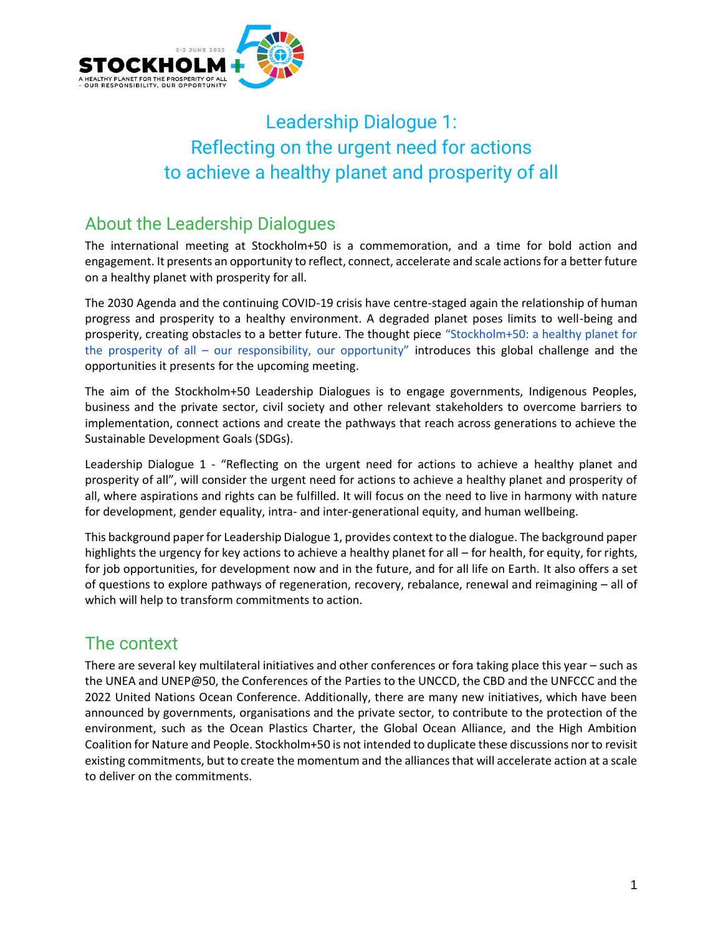

# Leadership Dialogue 1: Reflecting on the urgent need for actions to achieve a healthy planet and prosperity of all

# About the Leadership Dialogues

The international meeting at Stockholm+50 is a commemoration, and a time for bold action and engagement. It presents an opportunity to reflect, connect, accelerate and scale actions for a better future on a healthy planet with prosperity for all.

The 2030 Agenda and the continuing COVID-19 crisis have centre-staged again the relationship of human progress and prosperity to a healthy environment. A degraded planet poses limits to well-being and prosperity, creating obstacles to a better future. The thought piec[e](https://wedocs.unep.org/bitstream/handle/20.500.11822/36939/STKLM50_HP.pdf) ["Stockholm+50: a healthy planet for](https://wedocs.unep.org/bitstream/handle/20.500.11822/36939/STKLM50_HP.pdf)  the prosperity of all – [our responsibility, our opportunity"](https://wedocs.unep.org/bitstream/handle/20.500.11822/36939/STKLM50_HP.pdf) introduces this global challenge and the opportunities it presents for the upcoming meeting.

The aim of the Stockholm+50 Leadership Dialogues is to engage governments, Indigenous Peoples, business and the private sector, civil society and other relevant stakeholders to overcome barriers to implementation, connect actions and create the pathways that reach across generations to achieve the Sustainable Development Goals (SDGs).

Leadership Dialogue 1 - "Reflecting on the urgent need for actions to achieve a healthy planet and prosperity of all", will consider the urgent need for actions to achieve a healthy planet and prosperity of all, where aspirations and rights can be fulfilled. It will focus on the need to live in harmony with nature for development, gender equality, intra- and inter-generational equity, and human wellbeing.

This background paper for Leadership Dialogue 1, provides context to the dialogue. The background paper highlights the urgency for key actions to achieve a healthy planet for all – for health, for equity, for rights, for job opportunities, for development now and in the future, and for all life on Earth. It also offers a set of questions to explore pathways of regeneration, recovery, rebalance, renewal and reimagining – all of which will help to transform commitments to action.

# The context

There are several key multilateral initiatives and other conferences or fora taking place this year – such as the UNEA and UNEP@50, the Conferences of the Parties to the UNCCD, the CBD and the UNFCCC and the 2022 United Nations Ocean Conference. Additionally, there are many new initiatives, which have been announced by governments, organisations and the private sector, to contribute to the protection of the environment, such as the Ocean Plastics Charter, the Global Ocean Alliance, and the High Ambition Coalition for Nature and People. Stockholm+50 is not intended to duplicate these discussions nor to revisit existing commitments, but to create the momentum and the alliances that will accelerate action at a scale to deliver on the commitments.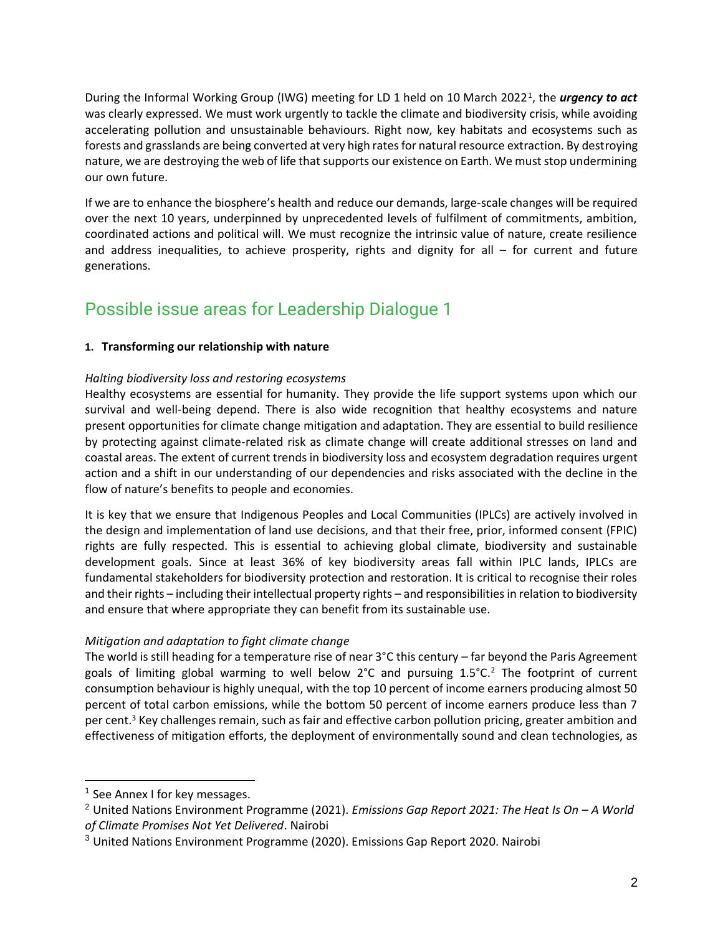During the Informal Working Group (IWG) meeting for LD 1 held on 10 March 2022<sup>1</sup>, the *urgency to act* was clearly expressed. We must work urgently to tackle the climate and biodiversity crisis, while avoiding accelerating pollution and unsustainable behaviours. Right now, key habitats and ecosystems such as forests and grasslands are being converted at very high rates for natural resource extraction. By destroying nature, we are destroying the web of life that supports our existence on Earth. We must stop undermining our own future.

If we are to enhance the biosphere's health and reduce our demands, large-scale changes will be required over the next 10 years, underpinned by unprecedented levels of fulfilment of commitments, ambition, coordinated actions and political will. We must recognize the intrinsic value of nature, create resilience and address inequalities, to achieve prosperity, rights and dignity for all  $-$  for current and future generations.

# Possible issue areas for Leadership Dialogue 1

# **1. Transforming our relationship with nature**

# *Halting biodiversity loss and restoring ecosystems*

Healthy ecosystems are essential for humanity. They provide the life support systems upon which our survival and well-being depend. There is also wide recognition that healthy ecosystems and nature present opportunities for climate change mitigation and adaptation. They are essential to build resilience by protecting against climate-related risk as climate change will create additional stresses on land and coastal areas. The extent of current trends in biodiversity loss and ecosystem degradation requires urgent action and a shift in our understanding of our dependencies and risks associated with the decline in the flow of nature's benefits to people and economies.

It is key that we ensure that Indigenous Peoples and Local Communities (IPLCs) are actively involved in the design and implementation of land use decisions, and that their free, prior, informed consent (FPIC) rights are fully respected. This is essential to achieving global climate, biodiversity and sustainable development goals. Since at least 36% of key biodiversity areas fall within IPLC lands, IPLCs are fundamental stakeholders for biodiversity protection and restoration. It is critical to recognise their roles and their rights – including their intellectual property rights – and responsibilities in relation to biodiversity and ensure that where appropriate they can benefit from its sustainable use.

# *Mitigation and adaptation to fight climate change*

The world is still heading for a temperature rise of near 3°C this century – far beyond the Paris Agreement goals of limiting global warming to well below  $2^{\circ}$ C and pursuing 1.5 $^{\circ}$ C.<sup>2</sup> The footprint of current consumption behaviour is highly unequal, with the top 10 percent of income earners producing almost 50 percent of total carbon emissions, while the bottom 50 percent of income earners produce less than 7 per cent.<sup>3</sup> Key challenges remain, such as fair and effective carbon pollution pricing, greater ambition and effectiveness of mitigation efforts, the deployment of environmentally sound and clean technologies, as

<sup>&</sup>lt;sup>1</sup> See Annex I for key messages.

<sup>2</sup> United Nations Environment Programme (2021). *Emissions Gap Report 2021: The Heat Is On – A World of Climate Promises Not Yet Delivered*. Nairobi

 $3$  United Nations Environment Programme (2020). Emissions Gap Report 2020. Nairobi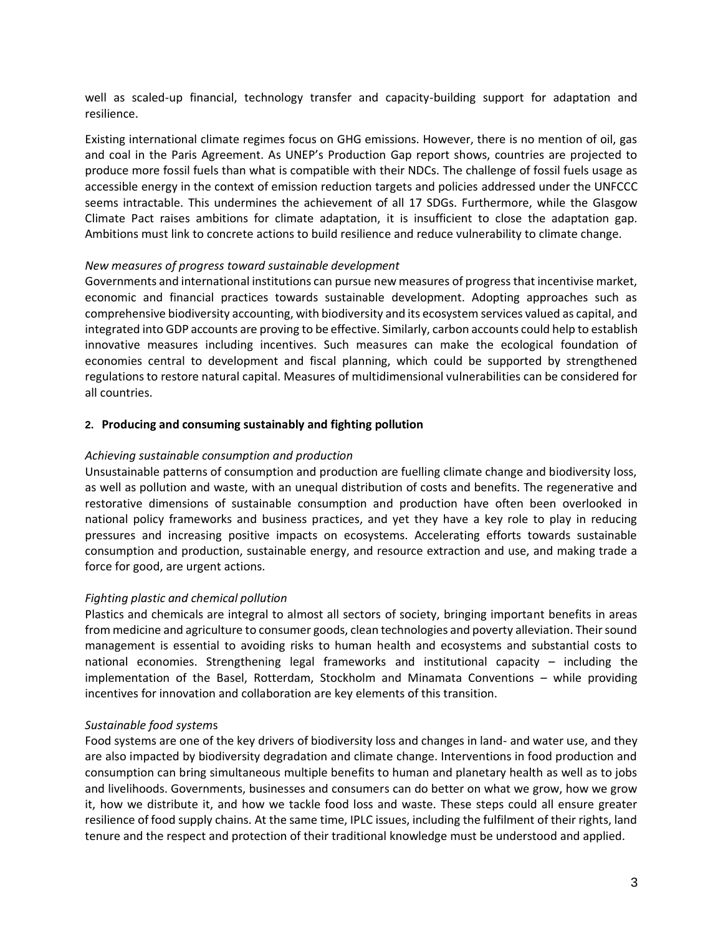well as scaled-up financial, technology transfer and capacity-building support for adaptation and resilience.

Existing international climate regimes focus on GHG emissions. However, there is no mention of oil, gas and coal in the Paris Agreement. As UNEP's Production Gap report shows, countries are projected to produce more fossil fuels than what is compatible with their NDCs. The challenge of fossil fuels usage as accessible energy in the context of emission reduction targets and policies addressed under the UNFCCC seems intractable. This undermines the achievement of all 17 SDGs. Furthermore, while the Glasgow Climate Pact raises ambitions for climate adaptation, it is insufficient to close the adaptation gap. Ambitions must link to concrete actions to build resilience and reduce vulnerability to climate change.

#### *New measures of progress toward sustainable development*

Governments and international institutions can pursue new measures of progress that incentivise market, economic and financial practices towards sustainable development. Adopting approaches such as comprehensive biodiversity accounting, with biodiversity and its ecosystem services valued as capital, and integrated into GDP accounts are proving to be effective. Similarly, carbon accounts could help to establish innovative measures including incentives. Such measures can make the ecological foundation of economies central to development and fiscal planning, which could be supported by strengthened regulations to restore natural capital. Measures of multidimensional vulnerabilities can be considered for all countries.

#### **2. Producing and consuming sustainably and fighting pollution**

#### *Achieving sustainable consumption and production*

Unsustainable patterns of consumption and production are fuelling climate change and biodiversity loss, as well as pollution and waste, with an unequal distribution of costs and benefits. The regenerative and restorative dimensions of sustainable consumption and production have often been overlooked in national policy frameworks and business practices, and yet they have a key role to play in reducing pressures and increasing positive impacts on ecosystems. Accelerating efforts towards sustainable consumption and production, sustainable energy, and resource extraction and use, and making trade a force for good, are urgent actions.

# *Fighting plastic and chemical pollution*

Plastics and chemicals are integral to almost all sectors of society, bringing important benefits in areas from medicine and agriculture to consumer goods, clean technologies and poverty alleviation. Their sound management is essential to avoiding risks to human health and ecosystems and substantial costs to national economies. Strengthening legal frameworks and institutional capacity – including the implementation of the Basel, Rotterdam, Stockholm and Minamata Conventions – while providing incentives for innovation and collaboration are key elements of this transition.

#### *Sustainable food system*s

Food systems are one of the key drivers of biodiversity loss and changes in land- and water use, and they are also impacted by biodiversity degradation and climate change. Interventions in food production and consumption can bring simultaneous multiple benefits to human and planetary health as well as to jobs and livelihoods. Governments, businesses and consumers can do better on what we grow, how we grow it, how we distribute it, and how we tackle food loss and waste. These steps could all ensure greater resilience of food supply chains. At the same time, IPLC issues, including the fulfilment of their rights, land tenure and the respect and protection of their traditional knowledge must be understood and applied.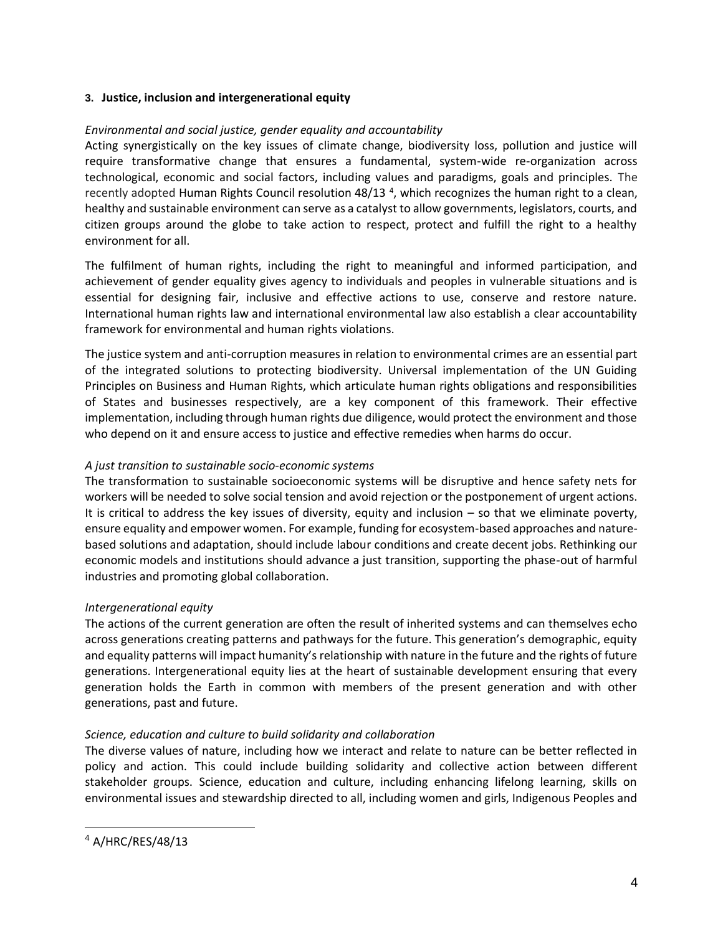# **3. Justice, inclusion and intergenerational equity**

# *Environmental and social justice, gender equality and accountability*

Acting synergistically on the key issues of climate change, biodiversity loss, pollution and justice will require transformative change that ensures a fundamental, system-wide re-organization across technological, economic and social factors, including values and paradigms, goals and principles. The recently adopted Human Rights Council resolution 48/13<sup>4</sup>, which recognizes the human right to a clean, healthy and sustainable environment can serve as a catalyst to allow governments, legislators, courts, and citizen groups around the globe to take action to respect, protect and fulfill the right to a healthy environment for all.

The fulfilment of human rights, including the right to meaningful and informed participation, and achievement of gender equality gives agency to individuals and peoples in vulnerable situations and is essential for designing fair, inclusive and effective actions to use, conserve and restore nature. International human rights law and international environmental law also establish a clear accountability framework for environmental and human rights violations.

The justice system and anti-corruption measures in relation to environmental crimes are an essential part of the integrated solutions to protecting biodiversity. Universal implementation of the UN Guiding Principles on Business and Human Rights, which articulate human rights obligations and responsibilities of States and businesses respectively, are a key component of this framework. Their effective implementation, including through human rights due diligence, would protect the environment and those who depend on it and ensure access to justice and effective remedies when harms do occur.

# *A just transition to sustainable socio-economic systems*

The transformation to sustainable socioeconomic systems will be disruptive and hence safety nets for workers will be needed to solve social tension and avoid rejection or the postponement of urgent actions. It is critical to address the key issues of diversity, equity and inclusion  $-$  so that we eliminate poverty, ensure equality and empower women. For example, funding for ecosystem-based approaches and naturebased solutions and adaptation, should include labour conditions and create decent jobs. Rethinking our economic models and institutions should advance a just transition, supporting the phase-out of harmful industries and promoting global collaboration.

# *Intergenerational equity*

The actions of the current generation are often the result of inherited systems and can themselves echo across generations creating patterns and pathways for the future. This generation's demographic, equity and equality patterns will impact humanity's relationship with nature in the future and the rights of future generations. Intergenerational equity lies at the heart of sustainable development ensuring that every generation holds the Earth in common with members of the present generation and with other generations, past and future.

# *Science, education and culture to build solidarity and collaboration*

The diverse values of nature, including how we interact and relate to nature can be better reflected in policy and action. This could include building solidarity and collective action between different stakeholder groups. Science, education and culture, including enhancing lifelong learning, skills on environmental issues and stewardship directed to all, including women and girls, Indigenous Peoples and

<sup>4</sup> A/HRC/RES/48/13